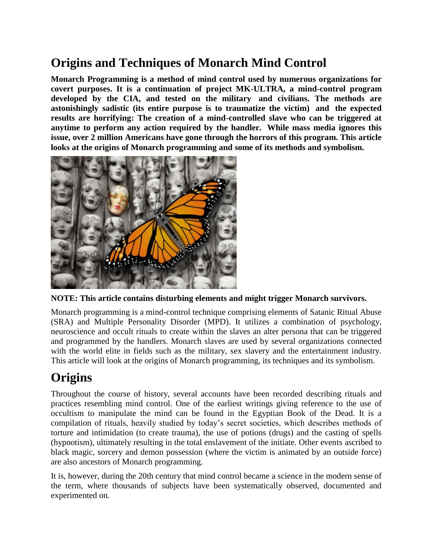# **Origins and Techniques of Monarch Mind Control**

**Monarch Programming is a method of mind control used by numerous organizations for covert purposes. It is a continuation of project MK-ULTRA, a mind-control program developed by the CIA, and tested on the military and civilians. The methods are astonishingly sadistic (its entire purpose is to traumatize the victim) and the expected results are horrifying: The creation of a mind-controlled slave who can be triggered at anytime to perform any action required by the handler. While mass media ignores this issue, over 2 million Americans have gone through the horrors of this program. This article looks at the origins of Monarch programming and some of its methods and symbolism.**



**NOTE: This article contains disturbing elements and might trigger Monarch survivors.**

Monarch programming is a mind-control technique comprising elements of Satanic Ritual Abuse (SRA) and Multiple Personality Disorder (MPD). It utilizes a combination of psychology, neuroscience and occult rituals to create within the slaves an alter persona that can be triggered and programmed by the handlers. Monarch slaves are used by several organizations connected with the world elite in fields such as the military, sex slavery and the entertainment industry. This article will look at the origins of Monarch programming, its techniques and its symbolism.

# **Origins**

Throughout the course of history, several accounts have been recorded describing rituals and practices resembling mind control. One of the earliest writings giving reference to the use of occultism to manipulate the mind can be found in the Egyptian Book of the Dead. It is a compilation of rituals, heavily studied by today's secret societies, which describes methods of torture and intimidation (to create trauma), the use of potions (drugs) and the casting of spells (hypnotism), ultimately resulting in the total enslavement of the initiate. Other events ascribed to black magic, sorcery and demon possession (where the victim is animated by an outside force) are also ancestors of Monarch programming.

It is, however, during the 20th century that mind control became a science in the modern sense of the term, where thousands of subjects have been systematically observed, documented and experimented on.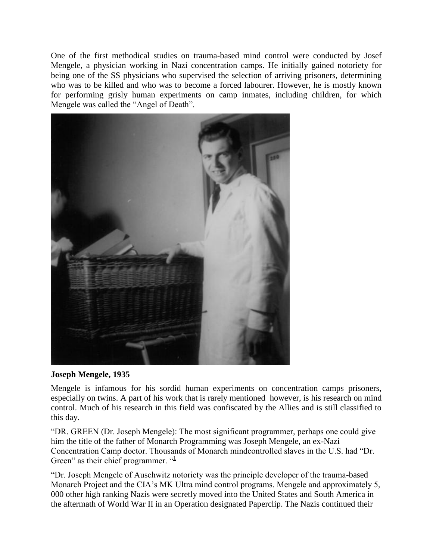One of the first methodical studies on trauma-based mind control were conducted by Josef Mengele, a physician working in Nazi concentration camps. He initially gained notoriety for being one of the SS physicians who supervised the selection of arriving prisoners, determining who was to be killed and who was to become a forced labourer. However, he is mostly known for performing grisly human experiments on camp inmates, including children, for which Mengele was called the "Angel of Death".



#### **Joseph Mengele, 1935**

Mengele is infamous for his sordid human experiments on concentration camps prisoners, especially on twins. A part of his work that is rarely mentioned however, is his research on mind control. Much of his research in this field was confiscated by the Allies and is still classified to this day.

"DR. GREEN (Dr. Joseph Mengele): The most significant programmer, perhaps one could give him the title of the father of Monarch Programming was Joseph Mengele, an ex-Nazi Concentration Camp doctor. Thousands of Monarch mindcontrolled slaves in the U.S. had "Dr. Green" as their chief programmer.  $\frac{d}{dx}$ 

"Dr. Joseph Mengele of Auschwitz notoriety was the principle developer of the trauma-based Monarch Project and the CIA's MK Ultra mind control programs. Mengele and approximately 5, 000 other high ranking Nazis were secretly moved into the United States and South America in the aftermath of World War II in an Operation designated Paperclip. The Nazis continued their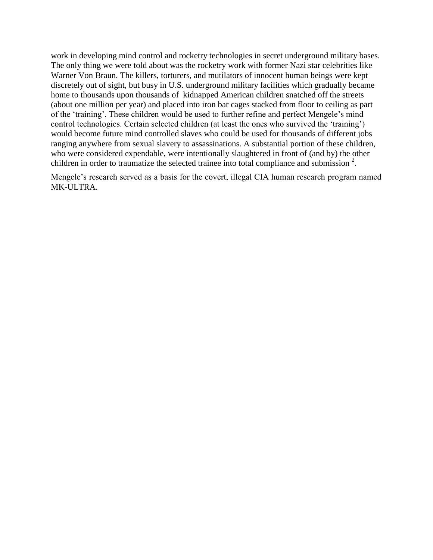work in developing mind control and rocketry technologies in secret underground military bases. The only thing we were told about was the rocketry work with former Nazi star celebrities like Warner Von Braun. The killers, torturers, and mutilators of innocent human beings were kept discretely out of sight, but busy in U.S. underground military facilities which gradually became home to thousands upon thousands of kidnapped American children snatched off the streets (about one million per year) and placed into iron bar cages stacked from floor to ceiling as part of the 'training'. These children would be used to further refine and perfect Mengele's mind control technologies. Certain selected children (at least the ones who survived the 'training') would become future mind controlled slaves who could be used for thousands of different jobs ranging anywhere from sexual slavery to assassinations. A substantial portion of these children, who were considered expendable, were intentionally slaughtered in front of (and by) the other childrenin order to traumatize the selected trainee into total compliance and submission  $2$ .

Mengele's research served as a basis for the covert, illegal CIA human research program named MK-ULTRA.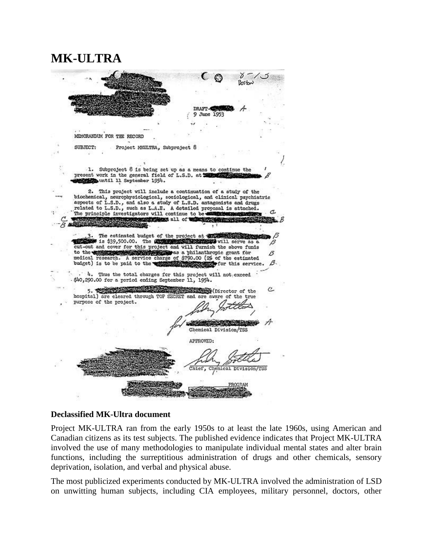### **MK-ULTRA**

|                           |                                                                                                                                                                                                                                                                                                                                                                                              | $\epsilon$ $\epsilon$     |                       |
|---------------------------|----------------------------------------------------------------------------------------------------------------------------------------------------------------------------------------------------------------------------------------------------------------------------------------------------------------------------------------------------------------------------------------------|---------------------------|-----------------------|
|                           |                                                                                                                                                                                                                                                                                                                                                                                              |                           |                       |
|                           |                                                                                                                                                                                                                                                                                                                                                                                              | DRAFT-TEEN                |                       |
|                           |                                                                                                                                                                                                                                                                                                                                                                                              | 9 June 1953               |                       |
|                           |                                                                                                                                                                                                                                                                                                                                                                                              |                           |                       |
| MEMORANDUM FOR THE RECORD |                                                                                                                                                                                                                                                                                                                                                                                              |                           |                       |
| SUBJECT:                  | Project MXULTRA, Subproject 8                                                                                                                                                                                                                                                                                                                                                                |                           |                       |
|                           |                                                                                                                                                                                                                                                                                                                                                                                              |                           |                       |
|                           | 1. Subproject 8 is being set up as a means to continue the<br>present work in the general field of L.S.D. at the state<br>Ministrumtil 11 September 1954.                                                                                                                                                                                                                                    |                           |                       |
|                           | 2. This project will include a continuation of a study of the<br>biochemical, neurophysiological, sociological, and clinical psychiatric<br>aspects of L.S.D., and also a study of L.S.D. antagonists and drugs                                                                                                                                                                              |                           |                       |
|                           | related to L.S.D., such as L.A.E. A detailed proposal is attached.                                                                                                                                                                                                                                                                                                                           |                           |                       |
|                           | The principle investigators will continue to be <b>exclusive and the contract of the contract of the contract of the contract of the contract of the contract of the contract of the contract of the contract of the contract of</b><br><b>CONTRACTORS ALL OF THE CONTRACTORS</b>                                                                                                            |                           |                       |
|                           |                                                                                                                                                                                                                                                                                                                                                                                              |                           |                       |
|                           | The estimated budget of the project at the street of the control of<br>1s \$39,500.00. The COMPRESS REPORTS WIll serve as a<br>cut-out and cover for this project and will furnish the above funds<br>to the testing of the service charge of \$790.00 (2% of the estimated medical research. A service charge of \$790.00 (2% of the estimated<br>budget) is to be paid to the west and the | for this service.         | ß<br>B.               |
|                           | Thus the total charges for this project will not exceed<br>\$40,290.00 for a period ending September 11, 1954.                                                                                                                                                                                                                                                                               |                           |                       |
| purpose of the project.   | hospital) are cleared through TOP SECRET and are aware of the true                                                                                                                                                                                                                                                                                                                           | <b>B</b> (Director of the |                       |
|                           |                                                                                                                                                                                                                                                                                                                                                                                              |                           |                       |
|                           |                                                                                                                                                                                                                                                                                                                                                                                              | Chemical Division/TSS     |                       |
|                           |                                                                                                                                                                                                                                                                                                                                                                                              | APPROVED:                 |                       |
|                           |                                                                                                                                                                                                                                                                                                                                                                                              |                           | Chemical Division/TSS |
|                           |                                                                                                                                                                                                                                                                                                                                                                                              |                           |                       |

#### **Declassified MK-Ultra document**

Project MK-ULTRA ran from the early 1950s to at least the late 1960s, using American and Canadian citizens as its test subjects. The published evidence indicates that Project MK-ULTRA involved the use of many methodologies to manipulate individual mental states and alter brain functions, including the surreptitious administration of drugs and other chemicals, sensory deprivation, isolation, and verbal and physical abuse.

The most publicized experiments conducted by MK-ULTRA involved the administration of LSD on unwitting human subjects, including CIA employees, military personnel, doctors, other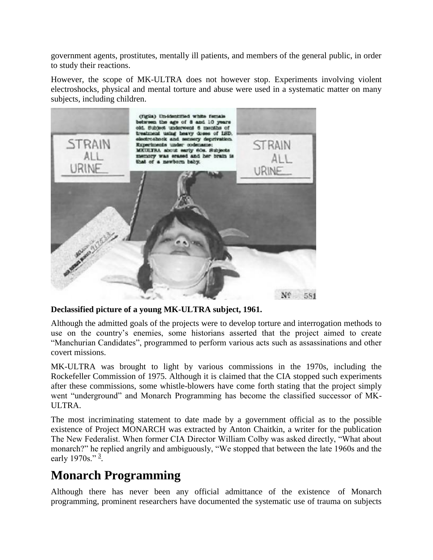government agents, prostitutes, mentally ill patients, and members of the general public, in order to study their reactions.

However, the scope of MK-ULTRA does not however stop. Experiments involving violent electroshocks, physical and mental torture and abuse were used in a systematic matter on many subjects, including children.



### **Declassified picture of a young MK-ULTRA subject, 1961.**

Although the admitted goals of the projects were to develop torture and interrogation methods to use on the country's enemies, some historians asserted that the project aimed to create "Manchurian Candidates", programmed to perform various acts such as assassinations and other covert missions.

MK-ULTRA was brought to light by various commissions in the 1970s, including the Rockefeller Commission of 1975. Although it is claimed that the CIA stopped such experiments after these commissions, some whistle-blowers have come forth stating that the project simply went "underground" and Monarch Programming has become the classified successor of MK-ULTRA.

The most incriminating statement to date made by a government official as to the possible existence of Project MONARCH was extracted by Anton Chaitkin, a writer for the publication The New Federalist. When former CIA Director William Colby was asked directly, "What about monarch?" he replied angrily and ambiguously, "We stopped that between the late 1960s and the early 1970s."  $\frac{3}{7}$  $\frac{3}{7}$  $\frac{3}{7}$ .

## **Monarch Programming**

Although there has never been any official admittance of the existence of Monarch programming, prominent researchers have documented the systematic use of trauma on subjects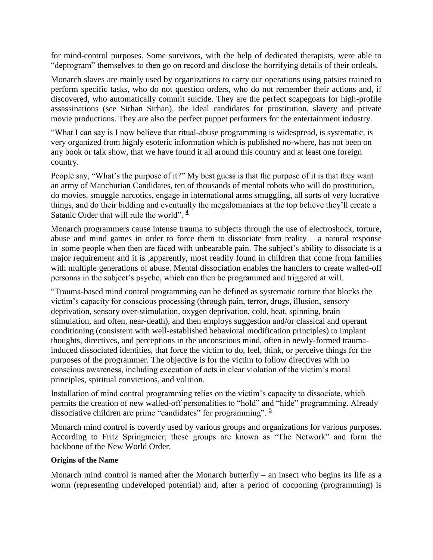for mind-control purposes. Some survivors, with the help of dedicated therapists, were able to "deprogram" themselves to then go on record and disclose the horrifying details of their ordeals.

Monarch slaves are mainly used by organizations to carry out operations using patsies trained to perform specific tasks, who do not question orders, who do not remember their actions and, if discovered, who automatically commit suicide. They are the perfect scapegoats for high-profile assassinations (see Sirhan Sirhan), the ideal candidates for prostitution, slavery and private movie productions. They are also the perfect puppet performers for the entertainment industry.

"What I can say is I now believe that ritual-abuse programming is widespread, is systematic, is very organized from highly esoteric information which is published no-where, has not been on any book or talk show, that we have found it all around this country and at least one foreign country.

People say, "What's the purpose of it?" My best guess is that the purpose of it is that they want an army of Manchurian Candidates, ten of thousands of mental robots who will do prostitution, do movies, smuggle narcotics, engage in international arms smuggling, all sorts of very lucrative things, and do their bidding and eventually the megalomaniacs at the top believe they'll create a Satanic Order that will rule the world".  $\frac{4}{3}$  $\frac{4}{3}$  $\frac{4}{3}$ 

Monarch programmers cause intense trauma to subjects through the use of electroshock, torture, abuse and mind games in order to force them to dissociate from reality – a natural response in some people when then are faced with unbearable pain. The subject's ability to dissociate is a major requirement and it is ,apparently, most readily found in children that come from families with multiple generations of abuse. Mental dissociation enables the handlers to create walled-off personas in the subject's psyche, which can then be programmed and triggered at will.

"Trauma-based mind control programming can be defined as systematic torture that blocks the victim's capacity for conscious processing (through pain, terror, drugs, illusion, sensory deprivation, sensory over-stimulation, oxygen deprivation, cold, heat, spinning, brain stimulation, and often, near-death), and then employs suggestion and/or classical and operant conditioning (consistent with well-established behavioral modification principles) to implant thoughts, directives, and perceptions in the unconscious mind, often in newly-formed traumainduced dissociated identities, that force the victim to do, feel, think, or perceive things for the purposes of the programmer. The objective is for the victim to follow directives with no conscious awareness, including execution of acts in clear violation of the victim's moral principles, spiritual convictions, and volition.

Installation of mind control programming relies on the victim's capacity to dissociate, which permits the creation of new walled-off personalities to "hold" and "hide" programming. Already dissociative children are prime "candidates" for programming".  $\frac{5}{2}$  $\frac{5}{2}$  $\frac{5}{2}$ 

Monarch mind control is covertly used by various groups and organizations for various purposes. According to Fritz Springmeier, these groups are known as "The Network" and form the backbone of the New World Order.

#### **Origins of the Name**

Monarch mind control is named after the Monarch butterfly – an insect who begins its life as a worm (representing undeveloped potential) and, after a period of cocooning (programming) is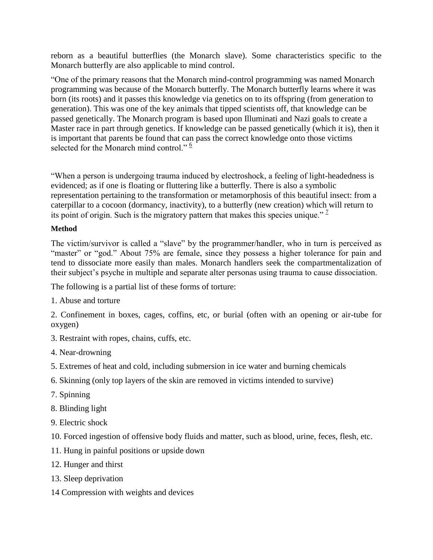reborn as a beautiful butterflies (the Monarch slave). Some characteristics specific to the Monarch butterfly are also applicable to mind control.

"One of the primary reasons that the Monarch mind-control programming was named Monarch programming was because of the Monarch butterfly. The Monarch butterfly learns where it was born (its roots) and it passes this knowledge via genetics on to its offspring (from generation to generation). This was one of the key animals that tipped scientists off, that knowledge can be passed genetically. The Monarch program is based upon Illuminati and Nazi goals to create a Master race in part through genetics. If knowledge can be passed genetically (which it is), then it is important that parents be found that can pass the correct knowledge onto those victims selected for the Monarch mind control."  $6$ 

"When a person is undergoing trauma induced by electroshock, a feeling of light-headedness is evidenced; as if one is floating or fluttering like a butterfly. There is also a symbolic representation pertaining to the transformation or metamorphosis of this beautiful insect: from a caterpillar to a cocoon (dormancy, inactivity), to a butterfly (new creation) which will return to its point of origin. Such is the migratory pattern that makes this species unique."  $\frac{7}{1}$  $\frac{7}{1}$  $\frac{7}{1}$ 

#### **Method**

The victim/survivor is called a "slave" by the programmer/handler, who in turn is perceived as "master" or "god." About 75% are female, since they possess a higher tolerance for pain and tend to dissociate more easily than males. Monarch handlers seek the compartmentalization of their subject's psyche in multiple and separate alter personas using trauma to cause dissociation.

The following is a partial list of these forms of torture:

1. Abuse and torture

2. Confinement in boxes, cages, coffins, etc, or burial (often with an opening or air-tube for oxygen)

- 3. Restraint with ropes, chains, cuffs, etc.
- 4. Near-drowning
- 5. Extremes of heat and cold, including submersion in ice water and burning chemicals
- 6. Skinning (only top layers of the skin are removed in victims intended to survive)
- 7. Spinning
- 8. Blinding light
- 9. Electric shock
- 10. Forced ingestion of offensive body fluids and matter, such as blood, urine, feces, flesh, etc.
- 11. Hung in painful positions or upside down
- 12. Hunger and thirst
- 13. Sleep deprivation
- 14 Compression with weights and devices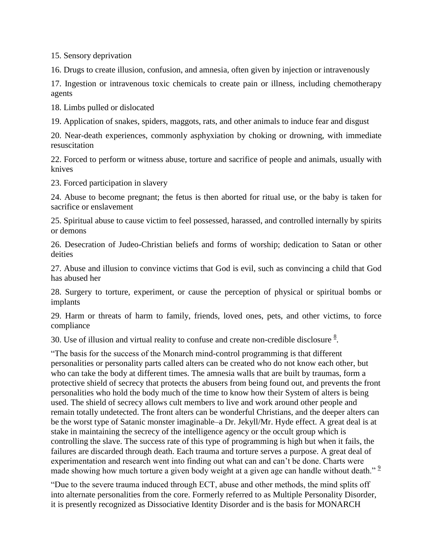15. Sensory deprivation

16. Drugs to create illusion, confusion, and amnesia, often given by injection or intravenously

17. Ingestion or intravenous toxic chemicals to create pain or illness, including chemotherapy agents

18. Limbs pulled or dislocated

19. Application of snakes, spiders, maggots, rats, and other animals to induce fear and disgust

20. Near-death experiences, commonly asphyxiation by choking or drowning, with immediate resuscitation

22. Forced to perform or witness abuse, torture and sacrifice of people and animals, usually with knives

23. Forced participation in slavery

24. Abuse to become pregnant; the fetus is then aborted for ritual use, or the baby is taken for sacrifice or enslavement

25. Spiritual abuse to cause victim to feel possessed, harassed, and controlled internally by spirits or demons

26. Desecration of Judeo-Christian beliefs and forms of worship; dedication to Satan or other deities

27. Abuse and illusion to convince victims that God is evil, such as convincing a child that God has abused her

28. Surgery to torture, experiment, or cause the perception of physical or spiritual bombs or implants

29. Harm or threats of harm to family, friends, loved ones, pets, and other victims, to force compliance

30. Use of illusion and virtual reality to confuse and create non-credible disclosure  $\frac{8}{3}$  $\frac{8}{3}$  $\frac{8}{3}$ .

"The basis for the success of the Monarch mind-control programming is that different personalities or personality parts called alters can be created who do not know each other, but who can take the body at different times. The amnesia walls that are built by traumas, form a protective shield of secrecy that protects the abusers from being found out, and prevents the front personalities who hold the body much of the time to know how their System of alters is being used. The shield of secrecy allows cult members to live and work around other people and remain totally undetected. The front alters can be wonderful Christians, and the deeper alters can be the worst type of Satanic monster imaginable–a Dr. Jekyll/Mr. Hyde effect. A great deal is at stake in maintaining the secrecy of the intelligence agency or the occult group which is controlling the slave. The success rate of this type of programming is high but when it fails, the failures are discarded through death. Each trauma and torture serves a purpose. A great deal of experimentation and research went into finding out what can and can't be done. Charts were made showing how much torture a given body weight at a given age can handle without death."<sup>2</sup>

"Due to the severe trauma induced through ECT, abuse and other methods, the mind splits off into alternate personalities from the core. Formerly referred to as Multiple Personality Disorder, it is presently recognized as Dissociative Identity Disorder and is the basis for MONARCH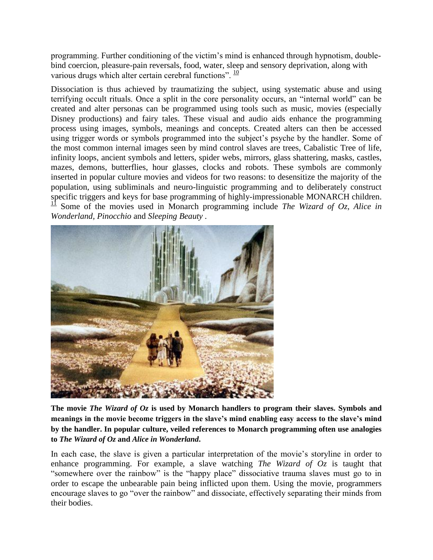programming. Further conditioning of the victim's mind is enhanced through hypnotism, doublebind coercion, pleasure-pain reversals, food, water, sleep and sensory deprivation, along with various drugs which alter certain cerebral functions".  $\frac{10}{10}$  $\frac{10}{10}$  $\frac{10}{10}$ 

Dissociation is thus achieved by traumatizing the subject, using systematic abuse and using terrifying occult rituals. Once a split in the core personality occurs, an "internal world" can be created and alter personas can be programmed using tools such as music, movies (especially Disney productions) and fairy tales. These visual and audio aids enhance the programming process using images, symbols, meanings and concepts. Created alters can then be accessed using trigger words or symbols programmed into the subject's psyche by the handler. Some of the most common internal images seen by mind control slaves are trees, Cabalistic Tree of life, infinity loops, ancient symbols and letters, spider webs, mirrors, glass shattering, masks, castles, mazes, demons, butterflies, hour glasses, clocks and robots. These symbols are commonly inserted in popular culture movies and videos for two reasons: to desensitize the majority of the population, using subliminals and neuro-linguistic programming and to deliberately construct specific triggers and keys for base programming of highly-impressionable MONARCH children. <sup>[11](http://secretarcana.com/hiddenknowledge/monarch-programming-mind-control/#fn-197-11)</sup> Some of the movies used in Monarch programming include *The Wizard of Oz, Alice in Wonderland, Pinocchio* and *Sleeping Beauty .*



**The movie** *The Wizard of Oz* **is used by Monarch handlers to program their slaves. Symbols and meanings in the movie become triggers in the slave's mind enabling easy access to the slave's mind by the handler. In popular culture, veiled references to Monarch programming often use analogies to** *The Wizard of Oz* **and** *Alice in Wonderland***.**

In each case, the slave is given a particular interpretation of the movie's storyline in order to enhance programming. For example, a slave watching *The Wizard of Oz* is taught that "somewhere over the rainbow" is the "happy place" dissociative trauma slaves must go to in order to escape the unbearable pain being inflicted upon them. Using the movie, programmers encourage slaves to go "over the rainbow" and dissociate, effectively separating their minds from their bodies.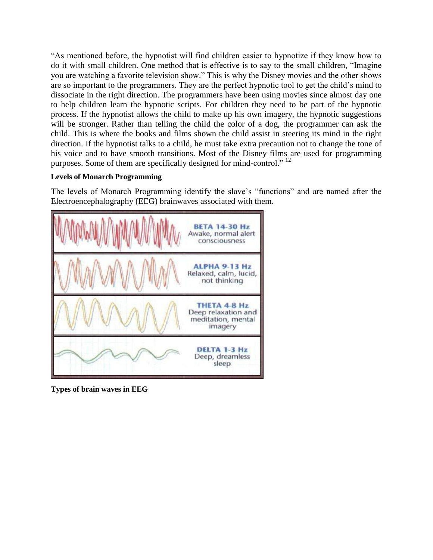"As mentioned before, the hypnotist will find children easier to hypnotize if they know how to do it with small children. One method that is effective is to say to the small children, "Imagine you are watching a favorite television show." This is why the Disney movies and the other shows are so important to the programmers. They are the perfect hypnotic tool to get the child's mind to dissociate in the right direction. The programmers have been using movies since almost day one to help children learn the hypnotic scripts. For children they need to be part of the hypnotic process. If the hypnotist allows the child to make up his own imagery, the hypnotic suggestions will be stronger. Rather than telling the child the color of a dog, the programmer can ask the child. This is where the books and films shown the child assist in steering its mind in the right direction. If the hypnotist talks to a child, he must take extra precaution not to change the tone of his voice and to have smooth transitions. Most of the Disney films are used for programming purposes. Some of them are specifically designed for mind-control."  $\frac{12}{2}$  $\frac{12}{2}$  $\frac{12}{2}$ 

### **Levels of Monarch Programming**

The levels of Monarch Programming identify the slave's "functions" and are named after the Electroencephalography (EEG) brainwaves associated with them.



**Types of brain waves in EEG**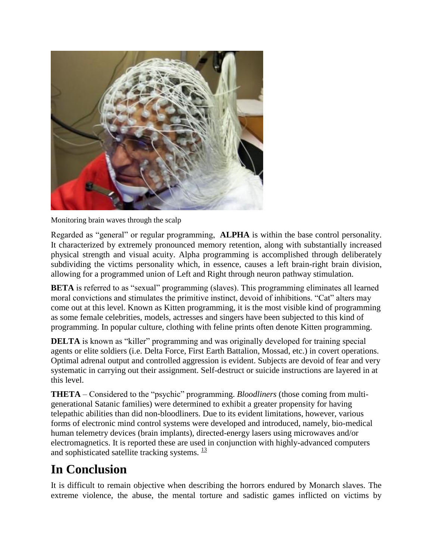

Monitoring brain waves through the scalp

Regarded as "general" or regular programming, **ALPHA** is within the base control personality. It characterized by extremely pronounced memory retention, along with substantially increased physical strength and visual acuity. Alpha programming is accomplished through deliberately subdividing the victims personality which, in essence, causes a left brain-right brain division, allowing for a programmed union of Left and Right through neuron pathway stimulation.

**BETA** is referred to as "sexual" programming (slaves). This programming eliminates all learned moral convictions and stimulates the primitive instinct, devoid of inhibitions. "Cat" alters may come out at this level. Known as Kitten programming, it is the most visible kind of programming as some female celebrities, models, actresses and singers have been subjected to this kind of programming. In popular culture, clothing with feline prints often denote Kitten programming.

**DELTA** is known as "killer" programming and was originally developed for training special agents or elite soldiers (i.e. Delta Force, First Earth Battalion, Mossad, etc.) in covert operations. Optimal adrenal output and controlled aggression is evident. Subjects are devoid of fear and very systematic in carrying out their assignment. Self-destruct or suicide instructions are layered in at this level.

**THETA** – Considered to the "psychic" programming. *Bloodliners* (those coming from multigenerational Satanic families) were determined to exhibit a greater propensity for having telepathic abilities than did non-bloodliners. Due to its evident limitations, however, various forms of electronic mind control systems were developed and introduced, namely, bio-medical human telemetry devices (brain implants), directed-energy lasers using microwaves and/or electromagnetics. It is reported these are used in conjunction with highly-advanced computers and sophisticated satellite tracking systems.  $\frac{13}{2}$  $\frac{13}{2}$  $\frac{13}{2}$ 

## **In Conclusion**

It is difficult to remain objective when describing the horrors endured by Monarch slaves. The extreme violence, the abuse, the mental torture and sadistic games inflicted on victims by